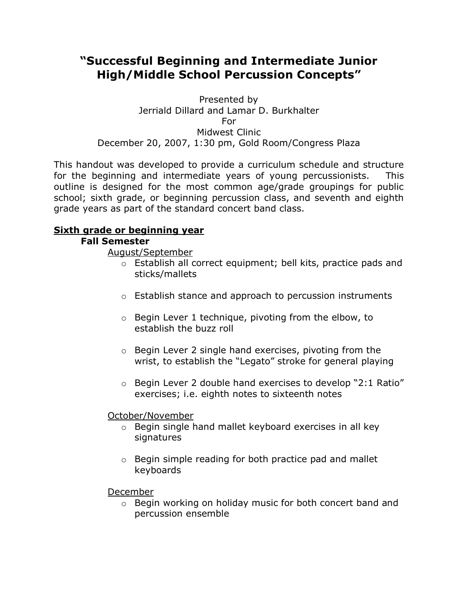# **"Successful Beginning and Intermediate Junior High/Middle School Percussion Concepts"**

Presented by Jerriald Dillard and Lamar D. Burkhalter For Midwest Clinic December 20, 2007, 1:30 pm, Gold Room/Congress Plaza

This handout was developed to provide a curriculum schedule and structure for the beginning and intermediate years of young percussionists. This outline is designed for the most common age/grade groupings for public school; sixth grade, or beginning percussion class, and seventh and eighth grade years as part of the standard concert band class.

## **Sixth grade or beginning year**

#### **Fall Semester**

August/September

- o Establish all correct equipment; bell kits, practice pads and sticks/mallets
- o Establish stance and approach to percussion instruments
- o Begin Lever 1 technique, pivoting from the elbow, to establish the buzz roll
- o Begin Lever 2 single hand exercises, pivoting from the wrist, to establish the "Legato" stroke for general playing
- o Begin Lever 2 double hand exercises to develop "2:1 Ratio" exercises; i.e. eighth notes to sixteenth notes

#### October/November

- o Begin single hand mallet keyboard exercises in all key signatures
- o Begin simple reading for both practice pad and mallet keyboards

December

o Begin working on holiday music for both concert band and percussion ensemble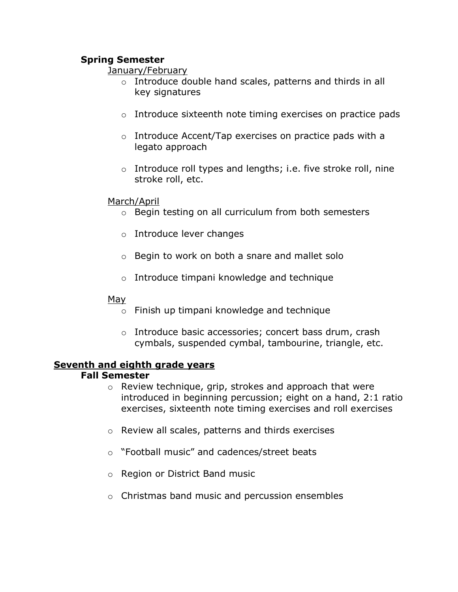### **Spring Semester**

#### January/February

- o Introduce double hand scales, patterns and thirds in all key signatures
- o Introduce sixteenth note timing exercises on practice pads
- o Introduce Accent/Tap exercises on practice pads with a legato approach
- o Introduce roll types and lengths; i.e. five stroke roll, nine stroke roll, etc.

#### March/April

- o Begin testing on all curriculum from both semesters
- o Introduce lever changes
- o Begin to work on both a snare and mallet solo
- o Introduce timpani knowledge and technique

#### M<u>ay</u>

- o Finish up timpani knowledge and technique
- o Introduce basic accessories; concert bass drum, crash cymbals, suspended cymbal, tambourine, triangle, etc.

#### **Seventh and eighth grade years Fall Semester**

- o Review technique, grip, strokes and approach that were introduced in beginning percussion; eight on a hand, 2:1 ratio exercises, sixteenth note timing exercises and roll exercises
- o Review all scales, patterns and thirds exercises
- o "Football music" and cadences/street beats
- o Region or District Band music
- o Christmas band music and percussion ensembles